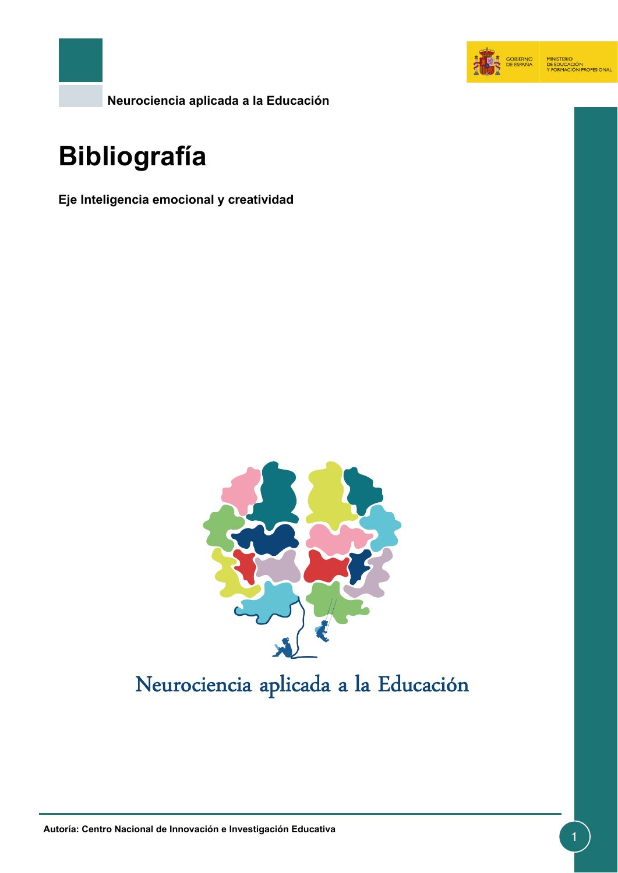

**Neurociencia aplicada a la Educación**

# **Bibliografía**

**Eje Inteligencia emocional y creatividad**



## Neurociencia aplicada a la Educación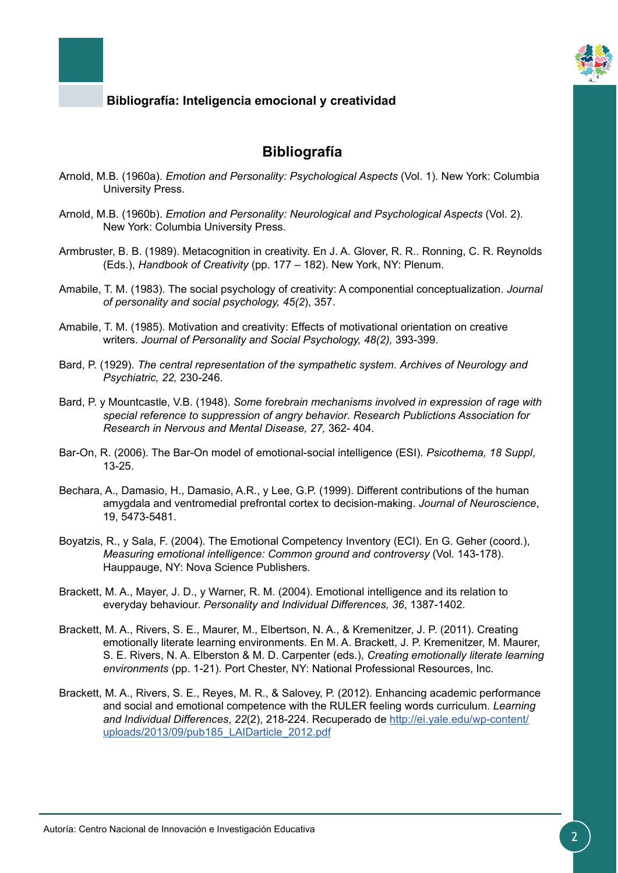

### **Bibliografía**

- Arnold, M.B. (1960a). *Emotion and Personality: Psychological Aspects* (Vol. 1). New York: Columbia University Press.
- Arnold, M.B. (1960b). *Emotion and Personality: Neurological and Psychological Aspects* (Vol. 2). New York: Columbia University Press.
- Armbruster, B. B. (1989). Metacognition in creativity. En J. A. Glover, R. R.. Ronning, C. R. Reynolds (Eds.), *Handbook of Creativity* (pp. 177 – 182). New York, NY: Plenum.
- Amabile, T. M. (1983). The social psychology of creativity: A componential conceptualization. *Journal of personality and social psychology, 45(2*), 357.
- Amabile, T. M. (1985). Motivation and creativity: Effects of motivational orientation on creative writers. *Journal of Personality and Social Psychology, 48(2),* 393-399.
- Bard, P. (1929). *The central representation of the sympathetic system*. *Archives of Neurology and Psychiatric, 22,* 230-246.
- Bard, P. y Mountcastle, V.B. (1948). *Some forebrain mechanisms involved in expression of rage with special reference to suppression of angry behavior*. *Research Publictions Association for Research in Nervous and Mental Disease, 27,* 362- 404.
- Bar-On, R. (2006). The Bar-On model of emotional-social intelligence (ESI). *Psicothema, 18 Suppl*, 13-25.
- Bechara, A., Damasio, H., Damasio, A.R., y Lee, G.P. (1999). Different contributions of the human amygdala and ventromedial prefrontal cortex to decision-making. *Journal of Neuroscience*, 19, 5473-5481.
- Boyatzis, R., y Sala, F. (2004). The Emotional Competency Inventory (ECI). En G. Geher (coord.), *Measuring emotional intelligence: Common ground and controversy* (Vol. 143-178). Hauppauge, NY: Nova Science Publishers.
- Brackett, M. A., Mayer, J. D., y Warner, R. M. (2004). Emotional intelligence and its relation to everyday behaviour. *Personality and Individual Differences, 36*, 1387-1402.
- Brackett, M. A., Rivers, S. E., Maurer, M., Elbertson, N. A., & Kremenitzer, J. P. (2011). Creating emotionally literate learning environments. En M. A. Brackett, J. P. Kremenitzer, M. Maurer, S. E. Rivers, N. A. Elberston & M. D. Carpenter (eds.), *Creating emotionally literate learning environments* (pp. 1-21). Port Chester, NY: National Professional Resources, Inc.
- Brackett, M. A., Rivers, S. E., Reyes, M. R., & Salovey, P. (2012). Enhancing academic performance and social and emotional competence with the RULER feeling words curriculum. *Learning and Individual Differences*, *22*(2), 218-224. Recuperado de [http://ei.yale.edu/wp-content/](http://ei.yale.edu/wp-content/uploads/2013/09/pub185_LAIDarticle_2012.pdf) [uploads/2013/09/pub185\\_LAIDarticle\\_2012.pdf](http://ei.yale.edu/wp-content/uploads/2013/09/pub185_LAIDarticle_2012.pdf)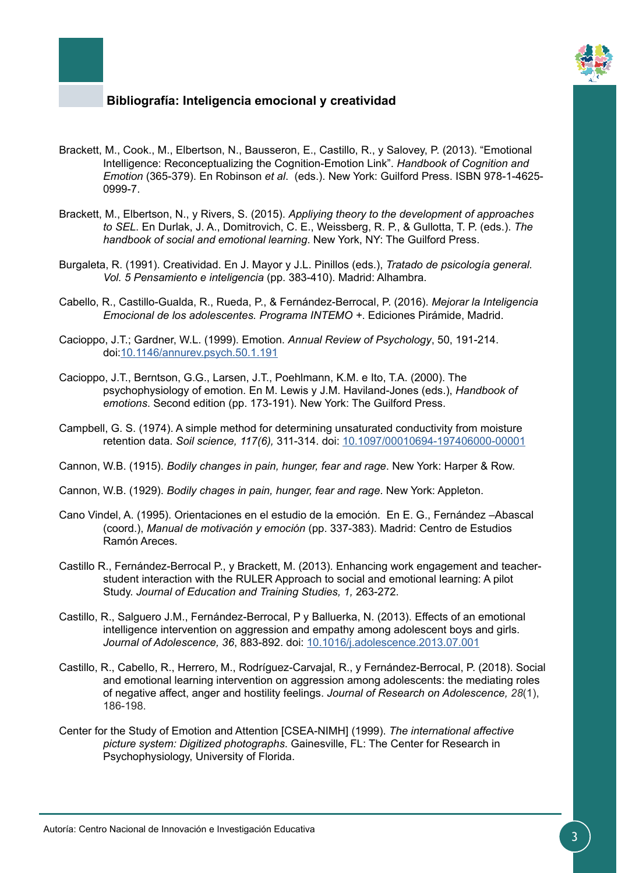

- Brackett, M., Cook., M., Elbertson, N., Bausseron, E., Castillo, R., y Salovey, P. (2013). "Emotional Intelligence: Reconceptualizing the Cognition-Emotion Link". *Handbook of Cognition and Emotion* (365-379). En Robinson *et al*. (eds.). New York: Guilford Press. ISBN 978-1-4625- 0999-7.
- Brackett, M., Elbertson, N., y Rivers, S. (2015). *Appliying theory to the development of approaches to SEL*. En Durlak, J. A., Domitrovich, C. E., Weissberg, R. P., & Gullotta, T. P. (eds.). *The handbook of social and emotional learning*. New York, NY: The Guilford Press.
- Burgaleta, R. (1991). Creatividad. En J. Mayor y J.L. Pinillos (eds.), *Tratado de psicología general. Vol. 5 Pensamiento e inteligencia* (pp. 383-410). Madrid: Alhambra.
- Cabello, R., Castillo-Gualda, R., Rueda, P., & Fernández-Berrocal, P. (2016). *Mejorar la Inteligencia Emocional de los adolescentes. Programa INTEMO +*. Ediciones Pirámide, Madrid.
- Cacioppo, J.T.; Gardner, W.L. (1999). Emotion. *Annual Review of Psychology*, 50, 191-214. doi[:10.1146/annurev.psych.50.1.191](https://doi.org/10.1146/annurev.psych.50.1.191)
- Cacioppo, J.T., Berntson, G.G., Larsen, J.T., Poehlmann, K.M. e Ito, T.A. (2000). The psychophysiology of emotion. En M. Lewis y J.M. Haviland-Jones (eds.), *Handbook of emotions*. Second edition (pp. 173-191). New York: The Guilford Press.
- Campbell, G. S. (1974). A simple method for determining unsaturated conductivity from moisture retention data. *Soil science, 117(6),* 311-314. doi: [10.1097/00010694-197406000-00001](https://insights.ovid.com/crossref?an=00010694-197406000-00001)
- Cannon, W.B. (1915). *Bodily changes in pain, hunger, fear and rage*. New York: Harper & Row.
- Cannon, W.B. (1929). *Bodily chages in pain, hunger, fear and rage*. New York: Appleton.
- Cano Vindel, A. (1995). Orientaciones en el estudio de la emoción. En E. G., Fernández –Abascal (coord.), *Manual de motivación y emoción* (pp. 337-383). Madrid: Centro de Estudios Ramón Areces.
- Castillo R., Fernández-Berrocal P., y Brackett, M. (2013). Enhancing work engagement and teacherstudent interaction with the RULER Approach to social and emotional learning: A pilot Study. *Journal of Education and Training Studies, 1,* 263-272.
- Castillo, R., Salguero J.M., Fernández-Berrocal, P y Balluerka, N. (2013). Effects of an emotional intelligence intervention on aggression and empathy among adolescent boys and girls. *Journal of Adolescence, 36*, 883-892. doi: [10.1016/j.adolescence.2013.07.001](https://www.sciencedirect.com/science/article/pii/S0140197113000948?via%3Dihub)
- Castillo, R., Cabello, R., Herrero, M., Rodríguez-Carvajal, R., y Fernández-Berrocal, P. (2018). Social and emotional learning intervention on aggression among adolescents: the mediating roles of negative affect, anger and hostility feelings. *Journal of Research on Adolescence, 28*(1), 186-198.
- Center for the Study of Emotion and Attention [CSEA-NIMH] (1999). *The international affective picture system: Digitized photographs*. Gainesville, FL: The Center for Research in Psychophysiology, University of Florida.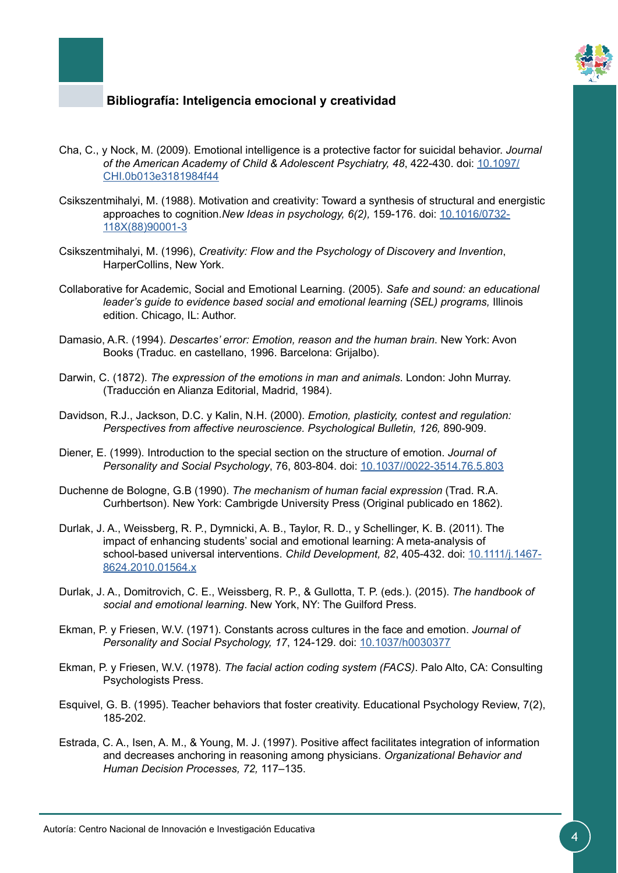

- Cha, C., y Nock, M. (2009). Emotional intelligence is a protective factor for suicidal behavior. *Journal of the American Academy of Child & Adolescent Psychiatry, 48, 422-430. doi:* [10.1097/](https://doi.org/10.1097/CHI.0b013e3181984f44) [CHI.0b013e3181984f44](https://doi.org/10.1097/CHI.0b013e3181984f44)
- Csikszentmihalyi, M. (1988). Motivation and creativity: Toward a synthesis of structural and energistic approaches to cognition.*New Ideas in psychology, 6(2),* 159-176. doi: [10.1016/0732-](https://doi.org/10.1016/0732-118X(88)90001-3) [118X\(88\)90001-3](https://doi.org/10.1016/0732-118X(88)90001-3)
- Csikszentmihalyi, M. (1996), *Creativity: Flow and the Psychology of Discovery and Invention*, HarperCollins, New York.
- Collaborative for Academic, Social and Emotional Learning. (2005). *Safe and sound: an educational*  leader's guide to evidence based social and emotional learning (SEL) programs, Illinois edition. Chicago, IL: Author.
- Damasio, A.R. (1994). *Descartes' error: Emotion, reason and the human brain*. New York: Avon Books (Traduc. en castellano, 1996. Barcelona: Grijalbo).
- Darwin, C. (1872). *The expression of the emotions in man and animals*. London: John Murray. (Traducción en Alianza Editorial, Madrid, 1984).
- Davidson, R.J., Jackson, D.C. y Kalin, N.H. (2000). *Emotion, plasticity, contest and regulation: Perspectives from affective neuroscience. Psychological Bulletin, 126,* 890-909.
- Diener, E. (1999). Introduction to the special section on the structure of emotion. *Journal of Personality and Social Psychology*, 76, 803-804. doi: [10.1037//0022-3514.76.5.803](http://psycnet.apa.org/doiLanding?doi=10.1037%2F0022-3514.76.5.803)
- Duchenne de Bologne, G.B (1990). *The mechanism of human facial expression* (Trad. R.A. Curhbertson). New York: Cambrigde University Press (Original publicado en 1862).
- Durlak, J. A., Weissberg, R. P., Dymnicki, A. B., Taylor, R. D., y Schellinger, K. B. (2011). The impact of enhancing students' social and emotional learning: A meta-analysis of school-based universal interventions. *Child Development, 82*, 405-432. doi: [10.1111/j.1467-](https://doi.org/10.1111/j.1467-8624.2010.01564.x) [8624.2010.01564.x](https://doi.org/10.1111/j.1467-8624.2010.01564.x)
- Durlak, J. A., Domitrovich, C. E., Weissberg, R. P., & Gullotta, T. P. (eds.). (2015). *The handbook of social and emotional learning*. New York, NY: The Guilford Press.
- Ekman, P. y Friesen, W.V. (1971). Constants across cultures in the face and emotion. *Journal of Personality and Social Psychology, 17*, 124-129. doi: [10.1037/h0030377](http://psycnet.apa.org/doiLanding?doi=10.1037%2Fh0030377)
- Ekman, P. y Friesen, W.V. (1978). *The facial action coding system (FACS)*. Palo Alto, CA: Consulting Psychologists Press.
- Esquivel, G. B. (1995). Teacher behaviors that foster creativity. Educational Psychology Review, 7(2), 185-202.
- Estrada, C. A., Isen, A. M., & Young, M. J. (1997). Positive affect facilitates integration of information and decreases anchoring in reasoning among physicians. *Organizational Behavior and Human Decision Processes, 72,* 117–135.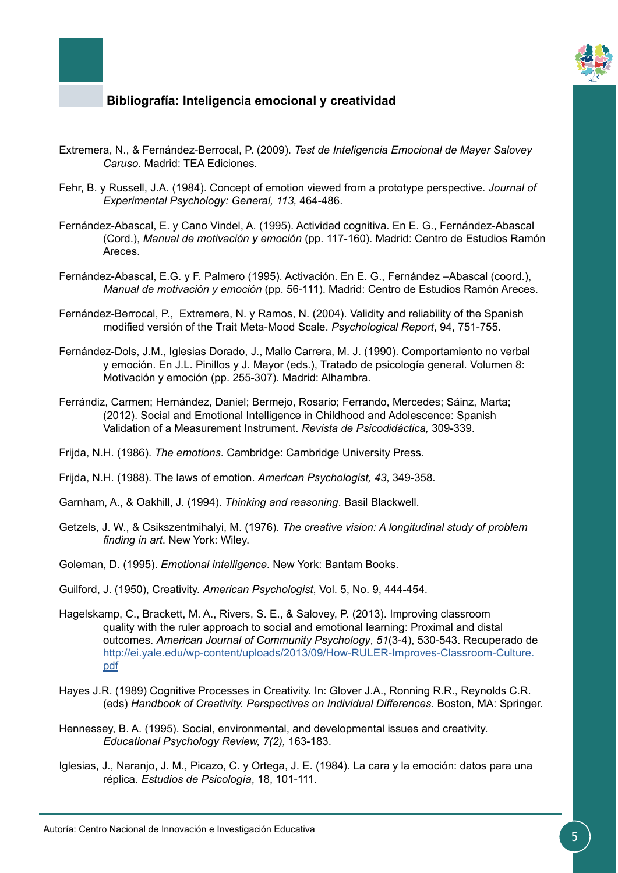

- Extremera, N., & Fernández-Berrocal, P. (2009). *Test de Inteligencia Emocional de Mayer Salovey Caruso*. Madrid: TEA Ediciones*.*
- Fehr, B. y Russell, J.A. (1984). Concept of emotion viewed from a prototype perspective. *Journal of Experimental Psychology: General, 113,* 464-486.
- Fernández-Abascal, E. y Cano Vindel, A. (1995). Actividad cognitiva. En E. G., Fernández-Abascal (Cord.), *Manual de motivación y emoción* (pp. 117-160). Madrid: Centro de Estudios Ramón Areces.
- Fernández-Abascal, E.G. y F. Palmero (1995). Activación. En E. G., Fernández –Abascal (coord.), *Manual de motivación y emoción* (pp. 56-111). Madrid: Centro de Estudios Ramón Areces.
- Fernández-Berrocal, P., Extremera, N. y Ramos, N. (2004). Validity and reliability of the Spanish modified versión of the Trait Meta-Mood Scale. *Psychological Report*, 94, 751-755.
- Fernández-Dols, J.M., Iglesias Dorado, J., Mallo Carrera, M. J. (1990). Comportamiento no verbal y emoción. En J.L. Pinillos y J. Mayor (eds.), Tratado de psicología general. Volumen 8: Motivación y emoción (pp. 255-307). Madrid: Alhambra.
- Ferrándiz, Carmen; Hernández, Daniel; Bermejo, Rosario; Ferrando, Mercedes; Sáinz, Marta; (2012). Social and Emotional Intelligence in Childhood and Adolescence: Spanish Validation of a Measurement Instrument. *Revista de Psicodidáctica,* 309-339.
- Frijda, N.H. (1986). *The emotions*. Cambridge: Cambridge University Press.
- Frijda, N.H. (1988). The laws of emotion. *American Psychologist, 43*, 349-358.
- Garnham, A., & Oakhill, J. (1994). *Thinking and reasoning*. Basil Blackwell.
- Getzels, J. W., & Csikszentmihalyi, M. (1976). *The creative vision: A longitudinal study of problem finding in art*. New York: Wiley.
- Goleman, D. (1995). *Emotional intelligence*. New York: Bantam Books.
- Guilford, J. (1950), Creativity. *American Psychologist*, Vol. 5, No. 9, 444-454.
- Hagelskamp, C., Brackett, M. A., Rivers, S. E., & Salovey, P. (2013). Improving classroom quality with the ruler approach to social and emotional learning: Proximal and distal outcomes. *American Journal of Community Psychology*, *51*(3-4), 530-543. Recuperado de [http://ei.yale.edu/wp-content/uploads/2013/09/How-RULER-Improves-Classroom-Culture.](http://ei.yale.edu/wp-content/uploads/2013/09/How-RULER-Improves-Classroom-Culture.pdf) [pdf](http://ei.yale.edu/wp-content/uploads/2013/09/How-RULER-Improves-Classroom-Culture.pdf)
- Hayes J.R. (1989) Cognitive Processes in Creativity. In: Glover J.A., Ronning R.R., Reynolds C.R. (eds) *Handbook of Creativity. Perspectives on Individual Differences*. Boston, MA: Springer.
- Hennessey, B. A. (1995). Social, environmental, and developmental issues and creativity. *Educational Psychology Review, 7(2),* 163-183.
- Iglesias, J., Naranjo, J. M., Picazo, C. y Ortega, J. E. (1984). La cara y la emoción: datos para una réplica. *Estudios de Psicología*, 18, 101-111.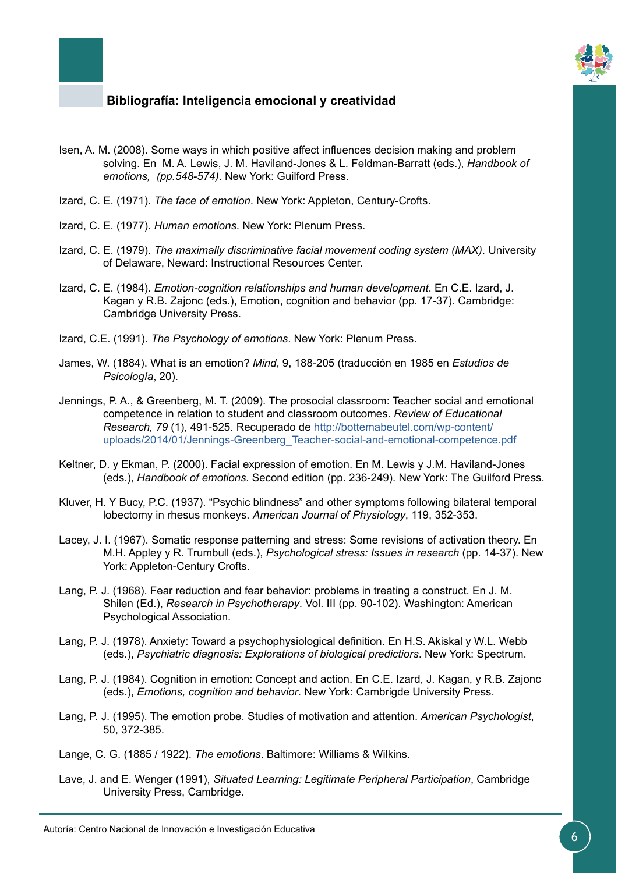

- Isen, A. M. (2008). Some ways in which positive affect influences decision making and problem solving. En M. A. Lewis, J. M. Haviland-Jones & L. Feldman-Barratt (eds.), *Handbook of emotions, (pp.548-574)*. New York: Guilford Press.
- Izard, C. E. (1971). *The face of emotion*. New York: Appleton, Century-Crofts.
- Izard, C. E. (1977). *Human emotions*. New York: Plenum Press.
- Izard, C. E. (1979). *The maximally discriminative facial movement coding system (MAX)*. University of Delaware, Neward: Instructional Resources Center.
- Izard, C. E. (1984). *Emotion-cognition relationships and human development*. En C.E. Izard, J. Kagan y R.B. Zajonc (eds.), Emotion, cognition and behavior (pp. 17-37). Cambridge: Cambridge University Press.
- Izard, C.E. (1991). *The Psychology of emotions*. New York: Plenum Press.
- James, W. (1884). What is an emotion? *Mind*, 9, 188-205 (traducción en 1985 en *Estudios de Psicología*, 20).
- Jennings, P. A., & Greenberg, M. T. (2009). The prosocial classroom: Teacher social and emotional competence in relation to student and classroom outcomes. *Review of Educational Research, 79* (1), 491-525. Recuperado de [http://bottemabeutel.com/wp-content/](http://bottemabeutel.com/wp-content/uploads/2014/01/Jennings-Greenberg_Teacher-social-and-emotional-competence.pdf) [uploads/2014/01/Jennings-Greenberg\\_Teacher-social-and-emotional-competence.pdf](http://bottemabeutel.com/wp-content/uploads/2014/01/Jennings-Greenberg_Teacher-social-and-emotional-competence.pdf)
- Keltner, D. y Ekman, P. (2000). Facial expression of emotion. En M. Lewis y J.M. Haviland-Jones (eds.), *Handbook of emotions*. Second edition (pp. 236-249). New York: The Guilford Press.
- Kluver, H. Y Bucy, P.C. (1937). "Psychic blindness" and other symptoms following bilateral temporal lobectomy in rhesus monkeys. *American Journal of Physiology*, 119, 352-353.
- Lacey, J. I. (1967). Somatic response patterning and stress: Some revisions of activation theory. En M.H. Appley y R. Trumbull (eds.), *Psychological stress: Issues in research* (pp. 14-37). New York: Appleton-Century Crofts.
- Lang, P. J. (1968). Fear reduction and fear behavior: problems in treating a construct. En J. M. Shilen (Ed.), *Research in Psychotherapy*. Vol. III (pp. 90-102). Washington: American Psychological Association.
- Lang, P. J. (1978). Anxiety: Toward a psychophysiological definition. En H.S. Akiskal y W.L. Webb (eds.), *Psychiatric diagnosis: Explorations of biological predictiors*. New York: Spectrum.
- Lang, P. J. (1984). Cognition in emotion: Concept and action. En C.E. Izard, J. Kagan, y R.B. Zajonc (eds.), *Emotions, cognition and behavior*. New York: Cambrigde University Press.
- Lang, P. J. (1995). The emotion probe. Studies of motivation and attention. *American Psychologist*, 50, 372-385.
- Lange, C. G. (1885 / 1922). *The emotions*. Baltimore: Williams & Wilkins.
- Lave, J. and E. Wenger (1991), *Situated Learning: Legitimate Peripheral Participation*, Cambridge University Press, Cambridge.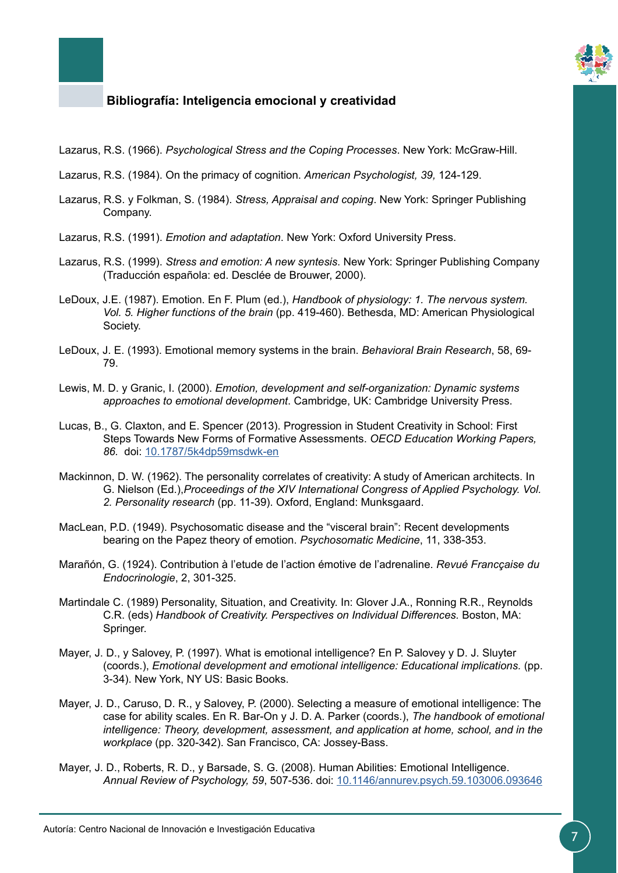

- Lazarus, R.S. (1966). *Psychological Stress and the Coping Processes*. New York: McGraw-Hill.
- Lazarus, R.S. (1984). On the primacy of cognition. *American Psychologist, 39,* 124-129.
- Lazarus, R.S. y Folkman, S. (1984). *Stress, Appraisal and coping*. New York: Springer Publishing Company.
- Lazarus, R.S. (1991). *Emotion and adaptation*. New York: Oxford University Press.
- Lazarus, R.S. (1999). *Stress and emotion: A new syntesis*. New York: Springer Publishing Company (Traducción española: ed. Desclée de Brouwer, 2000).
- LeDoux, J.E. (1987). Emotion. En F. Plum (ed.), *Handbook of physiology: 1. The nervous system. Vol. 5. Higher functions of the brain* (pp. 419-460). Bethesda, MD: American Physiological Society.
- LeDoux, J. E. (1993). Emotional memory systems in the brain. *Behavioral Brain Research*, 58, 69- 79.
- Lewis, M. D. y Granic, I. (2000). *Emotion, development and self-organization: Dynamic systems approaches to emotional development*. Cambridge, UK: Cambridge University Press.
- Lucas, B., G. Claxton, and E. Spencer (2013). Progression in Student Creativity in School: First Steps Towards New Forms of Formative Assessments. *OECD Education Working Papers, 86.* doi: [10.1787/5k4dp59msdwk-en](https://www.oecd-ilibrary.org/education/progression-in-student-creativity-in-school_5k4dp59msdwk-en)
- Mackinnon, D. W. (1962). The personality correlates of creativity: A study of American architects. In G. Nielson (Ed.),*Proceedings of the XIV International Congress of Applied Psychology. Vol. 2. Personality research* (pp. 11-39). Oxford, England: Munksgaard.
- MacLean, P.D. (1949). Psychosomatic disease and the "visceral brain": Recent developments bearing on the Papez theory of emotion. *Psychosomatic Medicine*, 11, 338-353.
- Marañón, G. (1924). Contribution à l'etude de l'action émotive de l'adrenaline. *Revué Francçaise du Endocrinologie*, 2, 301-325.
- Martindale C. (1989) Personality, Situation, and Creativity. In: Glover J.A., Ronning R.R., Reynolds C.R. (eds) *Handbook of Creativity. Perspectives on Individual Differences.* Boston, MA: Springer.
- Mayer, J. D., y Salovey, P. (1997). What is emotional intelligence? En P. Salovey y D. J. Sluyter (coords.), *Emotional development and emotional intelligence: Educational implications.* (pp. 3-34). New York, NY US: Basic Books.
- Mayer, J. D., Caruso, D. R., y Salovey, P. (2000). Selecting a measure of emotional intelligence: The case for ability scales. En R. Bar-On y J. D. A. Parker (coords.), *The handbook of emotional intelligence: Theory, development, assessment, and application at home, school, and in the workplace* (pp. 320-342). San Francisco, CA: Jossey-Bass.
- Mayer, J. D., Roberts, R. D., y Barsade, S. G. (2008). Human Abilities: Emotional Intelligence. *Annual Review of Psychology, 59*, 507-536. doi: [10.1146/annurev.psych.59.103006.093646](https://doi.org/10.1146/annurev.psych.59.103006.093646)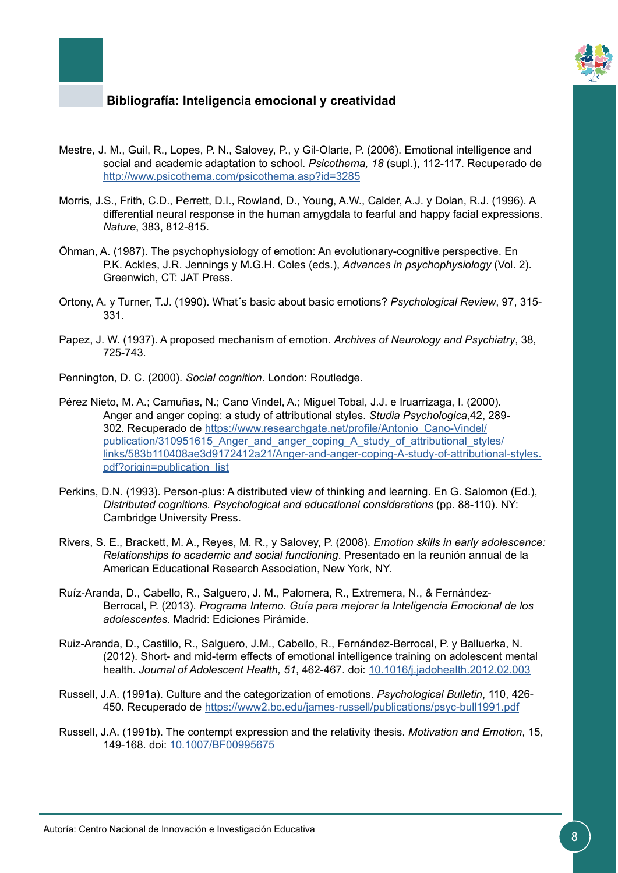

- Mestre, J. M., Guil, R., Lopes, P. N., Salovey, P., y Gil-Olarte, P. (2006). Emotional intelligence and social and academic adaptation to school. *Psicothema, 18* (supl.), 112-117. Recuperado de <http://www.psicothema.com/psicothema.asp?id=3285>
- Morris, J.S., Frith, C.D., Perrett, D.I., Rowland, D., Young, A.W., Calder, A.J. y Dolan, R.J. (1996). A differential neural response in the human amygdala to fearful and happy facial expressions. *Nature*, 383, 812-815.
- Öhman, A. (1987). The psychophysiology of emotion: An evolutionary-cognitive perspective. En P.K. Ackles, J.R. Jennings y M.G.H. Coles (eds.), *Advances in psychophysiology* (Vol. 2). Greenwich, CT: JAT Press.
- Ortony, A. y Turner, T.J. (1990). What´s basic about basic emotions? *Psychological Review*, 97, 315- 331.
- Papez, J. W. (1937). A proposed mechanism of emotion. *Archives of Neurology and Psychiatry*, 38, 725-743.
- Pennington, D. C. (2000). *Social cognition*. London: Routledge.
- Pérez Nieto, M. A.; Camuñas, N.; Cano Vindel, A.; Miguel Tobal, J.J. e Iruarrizaga, I. (2000). Anger and anger coping: a study of attributional styles. *Studia Psychologica*,42, 289- 302. Recuperado de [https://www.researchgate.net/profile/Antonio\\_Cano-Vindel/](https://www.researchgate.net/profile/Antonio_Cano-Vindel/publication/310951615_Anger_and_anger_coping_A_study_of_attributional_styles/links/583b110408ae3d9172412a21/Anger-and-anger-coping-A-study-of-attributional-styles.pdf?origin=publication_list) publication/310951615 Anger and anger coping A study of attributional styles/ [links/583b110408ae3d9172412a21/Anger-and-anger-coping-A-study-of-attributional-styles.](https://www.researchgate.net/profile/Antonio_Cano-Vindel/publication/310951615_Anger_and_anger_coping_A_study_of_attributional_styles/links/583b110408ae3d9172412a21/Anger-and-anger-coping-A-study-of-attributional-styles.pdf?origin=publication_list) [pdf?origin=publication\\_list](https://www.researchgate.net/profile/Antonio_Cano-Vindel/publication/310951615_Anger_and_anger_coping_A_study_of_attributional_styles/links/583b110408ae3d9172412a21/Anger-and-anger-coping-A-study-of-attributional-styles.pdf?origin=publication_list)
- Perkins, D.N. (1993). Person-plus: A distributed view of thinking and learning. En G. Salomon (Ed.), *Distributed cognitions. Psychological and educational considerations* (pp. 88-110). NY: Cambridge University Press.
- Rivers, S. E., Brackett, M. A., Reyes, M. R., y Salovey, P. (2008). *Emotion skills in early adolescence: Relationships to academic and social functioning*. Presentado en la reunión annual de la American Educational Research Association, New York, NY.
- Ruíz-Aranda, D., Cabello, R., Salguero, J. M., Palomera, R., Extremera, N., & Fernández-Berrocal, P. (2013). *Programa Intemo. Guía para mejorar la Inteligencia Emocional de los adolescentes.* Madrid: Ediciones Pirámide.
- Ruiz-Aranda, D., Castillo, R., Salguero, J.M., Cabello, R., Fernández-Berrocal, P. y Balluerka, N. (2012). Short- and mid-term effects of emotional intelligence training on adolescent mental health. *Journal of Adolescent Health, 51*, 462-467. doi: [10.1016/j.jadohealth.2012.02.003](https://doi.org/10.1016/j.jadohealth.2012.02.003)
- Russell, J.A. (1991a). Culture and the categorization of emotions. *Psychological Bulletin*, 110, 426- 450. Recuperado de [https://www2.bc.edu/james-russell/publications/psyc-bull1991.pdf](Recuperado de https://www2.bc.edu/james-russell/publications/psyc-bull1991.pdf)
- Russell, J.A. (1991b). The contempt expression and the relativity thesis. *Motivation and Emotion*, 15, 149-168. doi: [10.1007/BF00995675](http://psycnet.apa.org/doi/10.1007/BF00995675)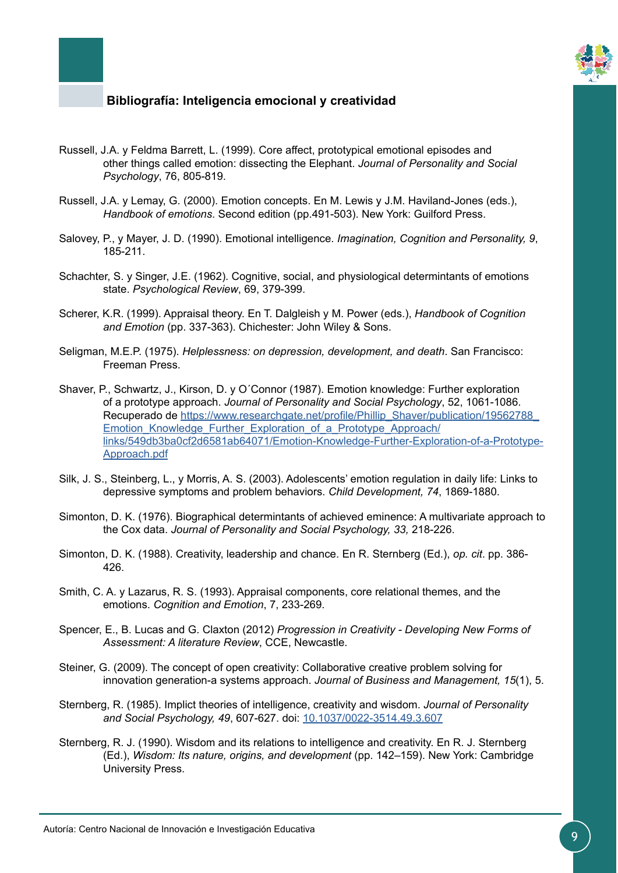

- Russell, J.A. y Feldma Barrett, L. (1999). Core affect, prototypical emotional episodes and other things called emotion: dissecting the Elephant. *Journal of Personality and Social Psychology*, 76, 805-819.
- Russell, J.A. y Lemay, G. (2000). Emotion concepts. En M. Lewis y J.M. Haviland-Jones (eds.), *Handbook of emotions*. Second edition (pp.491-503). New York: Guilford Press.
- Salovey, P., y Mayer, J. D. (1990). Emotional intelligence. *Imagination, Cognition and Personality, 9*, 185-211.
- Schachter, S. y Singer, J.E. (1962). Cognitive, social, and physiological determintants of emotions state. *Psychological Review*, 69, 379-399.
- Scherer, K.R. (1999). Appraisal theory. En T. Dalgleish y M. Power (eds.), *Handbook of Cognition and Emotion* (pp. 337-363). Chichester: John Wiley & Sons.
- Seligman, M.E.P. (1975). *Helplessness: on depression, development, and death*. San Francisco: Freeman Press.
- Shaver, P., Schwartz, J., Kirson, D. y O´Connor (1987). Emotion knowledge: Further exploration of a prototype approach. *Journal of Personality and Social Psychology*, 52, 1061-1086. Recuperado de https://www.researchgate.net/profile/Phillip\_Shaver/publication/19562788 Emotion Knowledge Further Exploration of a Prototype Approach/ [links/549db3ba0cf2d6581ab64071/Emotion-Knowledge-Further-Exploration-of-a-Prototype-](https://www.researchgate.net/profile/Phillip_Shaver/publication/19562788_Emotion_Knowledge_Further_Exploration_of_a_Prototype_Approach/links/549db3ba0cf2d6581ab64071/Emotion-Knowledge-Further-Exploration-of-a-Prototype-Approach.pdf)[Approach.pdf](https://www.researchgate.net/profile/Phillip_Shaver/publication/19562788_Emotion_Knowledge_Further_Exploration_of_a_Prototype_Approach/links/549db3ba0cf2d6581ab64071/Emotion-Knowledge-Further-Exploration-of-a-Prototype-Approach.pdf)
- Silk, J. S., Steinberg, L., y Morris, A. S. (2003). Adolescents' emotion regulation in daily life: Links to depressive symptoms and problem behaviors. *Child Development, 74*, 1869-1880.
- Simonton, D. K. (1976). Biographical determintants of achieved eminence: A multivariate approach to the Cox data. *Journal of Personality and Social Psychology, 33,* 218-226.
- Simonton, D. K. (1988). Creativity, leadership and chance. En R. Sternberg (Ed.), *op. cit*. pp. 386- 426.
- Smith, C. A. y Lazarus, R. S. (1993). Appraisal components, core relational themes, and the emotions. *Cognition and Emotion*, 7, 233-269.
- Spencer, E., B. Lucas and G. Claxton (2012) *Progression in Creativity Developing New Forms of Assessment: A literature Review*, CCE, Newcastle.
- Steiner, G. (2009). The concept of open creativity: Collaborative creative problem solving for innovation generation-a systems approach. *Journal of Business and Management, 15*(1), 5.
- Sternberg, R. (1985). Implict theories of intelligence, creativity and wisdom. *Journal of Personality and Social Psychology, 49*, 607-627. doi: [10.1037/0022-3514.49.3.607](http://psycnet.apa.org/doiLanding?doi=10.1037%2F0022-3514.49.3.607)
- Sternberg, R. J. (1990). Wisdom and its relations to intelligence and creativity. En R. J. Sternberg (Ed.), *Wisdom: Its nature, origins, and development* (pp. 142–159). New York: Cambridge University Press.